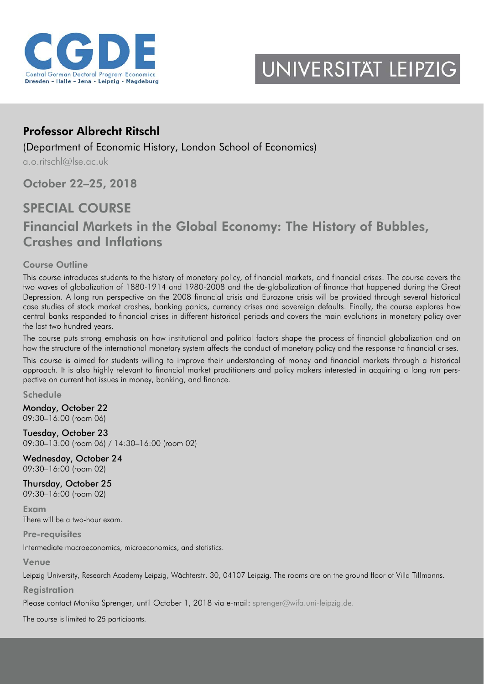



# Professor Albrecht Ritschl

(Department of Economic History, London School of Economics)

[a.o.ritschl@lse.ac.uk](mailto:a.o.ritschl@lse.ac.uk)

October 22–25, 2018

# SPECIAL COURSE

# Financial Markets in the Global Economy: The History of Bubbles, Crashes and Inflations

# Course Outline

This course introduces students to the history of monetary policy, of financial markets, and financial crises. The course covers the two waves of globalization of 1880-1914 and 1980-2008 and the de-globalization of finance that happened during the Great Depression. A long run perspective on the 2008 financial crisis and Eurozone crisis will be provided through several historical case studies of stock market crashes, banking panics, currency crises and sovereign defaults. Finally, the course explores how central banks responded to financial crises in different historical periods and covers the main evolutions in monetary policy over the last two hundred years.

The course puts strong emphasis on how institutional and political factors shape the process of financial globalization and on how the structure of the international monetary system affects the conduct of monetary policy and the response to financial crises.

This course is aimed for students willing to improve their understanding of money and financial markets through a historical approach. It is also highly relevant to financial market practitioners and policy makers interested in acquiring a long run perspective on current hot issues in money, banking, and finance.

Schedule

Monday, October 22 09:30–16:00 (room 06)

Tuesday, October 23 09:30–13:00 (room 06) / 14:30–16:00 (room 02)

Wednesday, October 24 09:30–16:00 (room 02)

Thursday, October 25 09:30–16:00 (room 02)

Exam There will be a two-hour exam.

Pre-requisites

Intermediate macroeconomics, microeconomics, and statistics.

Venue

Leipzig University, Research Academy Leipzig, Wächterstr. 30, 04107 Leipzig. The rooms are on the ground floor of Villa Tillmanns.

**Registration** 

Please contact Monika Sprenger, until October 1, 2018 via e-mail: [sprenger@wifa.uni-leipzig.de.](mailto:sprenger@wifa.uni-leipzig.de)

The course is limited to 25 participants.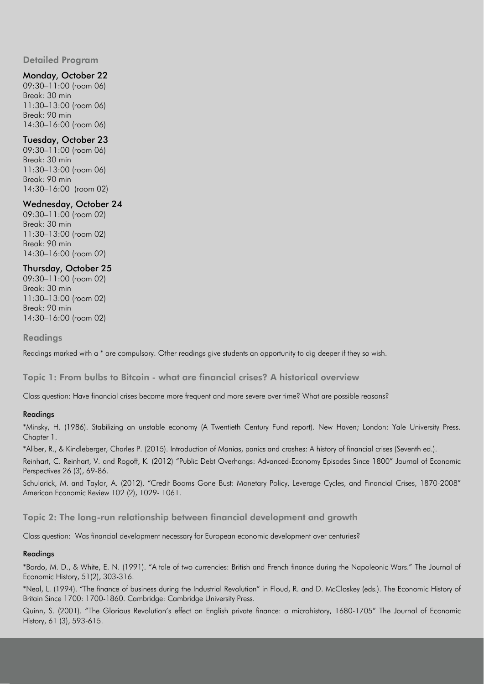Detailed Program

# Monday, October 22

09:30–11:00 (room 06) Break: 30 min 11:30–13:00 (room 06) Break: 90 min 14:30–16:00 (room 06)

# Tuesday, October 23

09:30–11:00 (room 06) Break: 30 min 11:30–13:00 (room 06) Break: 90 min 14:30–16:00 (room 02)

# Wednesday, October 24

09:30–11:00 (room 02) Break: 30 min 11:30–13:00 (room 02) Break: 90 min 14:30–16:00 (room 02)

### Thursday, October 25

09:30–11:00 (room 02) Break: 30 min 11:30–13:00 (room 02) Break: 90 min 14:30–16:00 (room 02)

#### Readings

Readings marked with a \* are compulsory. Other readings give students an opportunity to dig deeper if they so wish.

Topic 1: From bulbs to Bitcoin - what are financial crises? A historical overview

Class question: Have financial crises become more frequent and more severe over time? What are possible reasons?

#### Readings

\*Minsky, H. (1986). Stabilizing an unstable economy (A Twentieth Century Fund report). New Haven; London: Yale University Press. Chapter 1.

\*Aliber, R., & Kindleberger, Charles P. (2015). Introduction of Manias, panics and crashes: A history of financial crises (Seventh ed.).

Reinhart, C. Reinhart, V. and Rogoff, K. (2012) "Public Debt Overhangs: Advanced-Economy Episodes Since 1800" Journal of Economic Perspectives 26 (3), 69-86.

Schularick, M. and Taylor, A. (2012). "Credit Booms Gone Bust: Monetary Policy, Leverage Cycles, and Financial Crises, 1870-2008" American Economic Review 102 (2), 1029- 1061.

Topic 2: The long-run relationship between financial development and growth

Class question: Was financial development necessary for European economic development over centuries?

#### Readings

\*Bordo, M. D., & White, E. N. (1991). "A tale of two currencies: British and French finance during the Napoleonic Wars." The Journal of Economic History, 51(2), 303-316.

\*Neal, L. (1994). "The finance of business during the Industrial Revolution" in Floud, R. and D. McCloskey (eds.). The Economic History of Britain Since 1700: 1700-1860. Cambridge: Cambridge University Press.

Quinn, S. (2001). "The Glorious Revolution's effect on English private finance: a microhistory, 1680-1705" The Journal of Economic History, 61 (3), 593-615.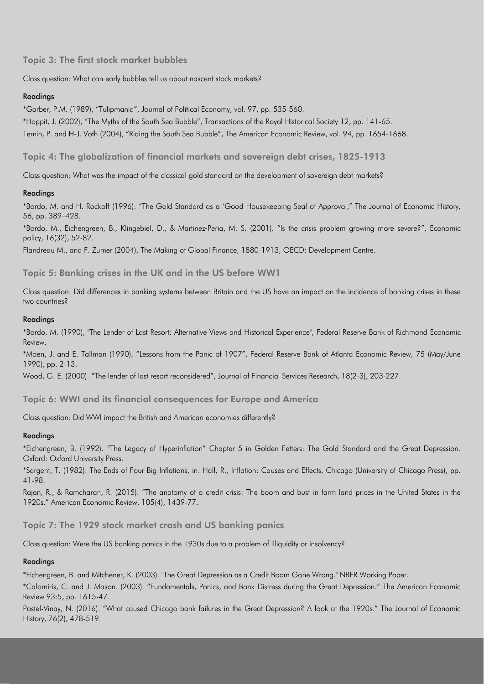Topic 3: The first stock market bubbles

Class question: What can early bubbles tell us about nascent stock markets?

## Readings

\*Garber, P.M. (1989), "Tulipmania", Journal of Political Economy, vol. 97, pp. 535-560. \*Hoppit, J. (2002), "The Myths of the South Sea Bubble", Transactions of the Royal Historical Society 12, pp. 141-65. Temin, P. and H-J. Voth (2004), "Riding the South Sea Bubble", The American Economic Review, vol. 94, pp. 1654-1668.

Topic 4: The globalization of financial markets and sovereign debt crises, 1825-1913

Class question: What was the impact of the classical gold standard on the development of sovereign debt markets?

# Readings

\*Bordo, M. and H. Rockoff (1996): "The Gold Standard as a 'Good Housekeeping Seal of Approval," The Journal of Economic History, 56, pp. 389–428.

\*Bordo, M., Eichengreen, B., Klingebiel, D., & Martinez‐Peria, M. S. (2001). "Is the crisis problem growing more severe?", Economic policy, 16(32), 52-82.

Flandreau M., and F. Zumer (2004), The Making of Global Finance, 1880-1913, OECD: Development Centre.

# Topic 5: Banking crises in the UK and in the US before WW1

Class question: Did differences in banking systems between Britain and the US have an impact on the incidence of banking crises in these two countries?

#### Readings

\*Bordo, M. (1990), "The Lender of Last Resort: Alternative Views and Historical Experience", Federal Reserve Bank of Richmond Economic Review.

\*Moen, J. and E. Tallman (1990), "Lessons from the Panic of 1907", Federal Reserve Bank of Atlanta Economic Review, 75 (May/June 1990), pp. 2-13.

Wood, G. E. (2000). "The lender of last resort reconsidered", Journal of Financial Services Research, 18(2-3), 203-227.

Topic 6: WWI and its financial consequences for Europe and America

Class question: Did WWI impact the British and American economies differently?

### Readings

\*Eichengreen, B. (1992). "The Legacy of Hyperinflation" Chapter 5 in Golden Fetters: The Gold Standard and the Great Depression. Oxford: Oxford University Press.

\*Sargent, T. (1982): The Ends of Four Big Inflations, in: Hall, R., Inflation: Causes and Effects, Chicago (University of Chicago Press), pp. 41-98.

Rajan, R., & Ramcharan, R. (2015). "The anatomy of a credit crisis: The boom and bust in farm land prices in the United States in the 1920s." American Economic Review, 105(4), 1439-77.

Topic 7: The 1929 stock market crash and US banking panics

Class question: Were the US banking panics in the 1930s due to a problem of illiquidity or insolvency?

### Readings

\*Eichengreen, B. and Mitchener, K. (2003). "The Great Depression as a Credit Boom Gone Wrong." NBER Working Paper.

\*Calomiris, C. and J. Mason. (2003). "Fundamentals, Panics, and Bank Distress during the Great Depression." The American Economic Review 93:5, pp. 1615-47.

Postel-Vinay, N. (2016). "What caused Chicago bank failures in the Great Depression? A look at the 1920s." The Journal of Economic History, 76(2), 478-519.